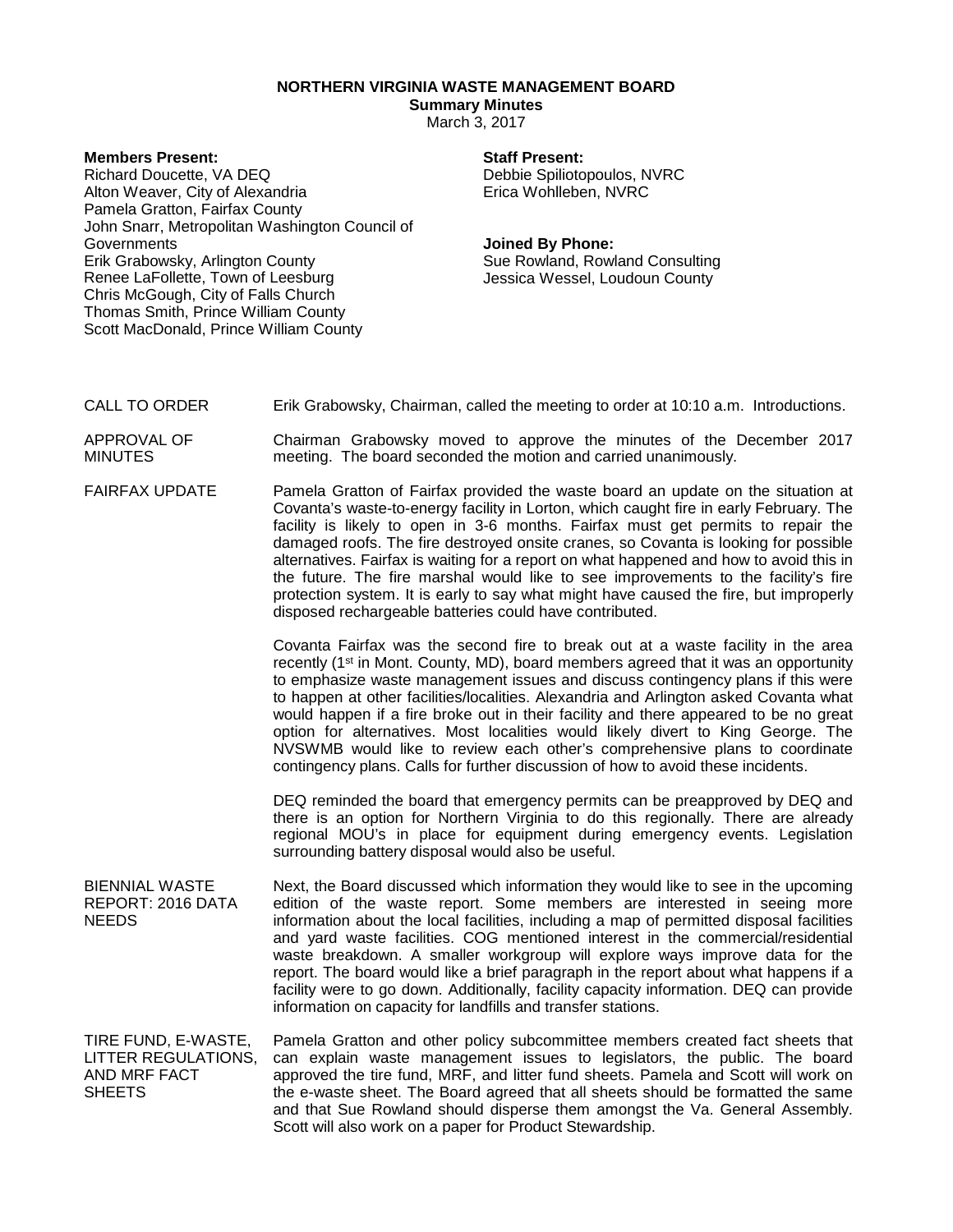# **NORTHERN VIRGINIA WASTE MANAGEMENT BOARD**

# **Summary Minutes**

March 3, 2017

## **Members Present:**

Richard Doucette, VA DEQ Alton Weaver, City of Alexandria Pamela Gratton, Fairfax County John Snarr, Metropolitan Washington Council of Governments Erik Grabowsky, Arlington County Renee LaFollette, Town of Leesburg Chris McGough, City of Falls Church Thomas Smith, Prince William County Scott MacDonald, Prince William County

## **Staff Present:**

Debbie Spiliotopoulos, NVRC Erica Wohlleben, NVRC

### **Joined By Phone:**

Sue Rowland, Rowland Consulting Jessica Wessel, Loudoun County

CALL TO ORDER Erik Grabowsky, Chairman, called the meeting to order at 10:10 a.m. Introductions.

APPROVAL OF MINUTES Chairman Grabowsky moved to approve the minutes of the December 2017 meeting. The board seconded the motion and carried unanimously.

FAIRFAX UPDATE Pamela Gratton of Fairfax provided the waste board an update on the situation at Covanta's waste-to-energy facility in Lorton, which caught fire in early February. The facility is likely to open in 3-6 months. Fairfax must get permits to repair the damaged roofs. The fire destroyed onsite cranes, so Covanta is looking for possible alternatives. Fairfax is waiting for a report on what happened and how to avoid this in the future. The fire marshal would like to see improvements to the facility's fire protection system. It is early to say what might have caused the fire, but improperly disposed rechargeable batteries could have contributed.

> Covanta Fairfax was the second fire to break out at a waste facility in the area recently  $(1^{st}$  in Mont. County, MD), board members agreed that it was an opportunity to emphasize waste management issues and discuss contingency plans if this were to happen at other facilities/localities. Alexandria and Arlington asked Covanta what would happen if a fire broke out in their facility and there appeared to be no great option for alternatives. Most localities would likely divert to King George. The NVSWMB would like to review each other's comprehensive plans to coordinate contingency plans. Calls for further discussion of how to avoid these incidents.

> DEQ reminded the board that emergency permits can be preapproved by DEQ and there is an option for Northern Virginia to do this regionally. There are already regional MOU's in place for equipment during emergency events. Legislation surrounding battery disposal would also be useful.

BIENNIAL WASTE REPORT: 2016 DATA NEEDS Next, the Board discussed which information they would like to see in the upcoming edition of the waste report. Some members are interested in seeing more information about the local facilities, including a map of permitted disposal facilities and yard waste facilities. COG mentioned interest in the commercial/residential waste breakdown. A smaller workgroup will explore ways improve data for the report. The board would like a brief paragraph in the report about what happens if a facility were to go down. Additionally, facility capacity information. DEQ can provide information on capacity for landfills and transfer stations.

TIRE FUND, E-WASTE, LITTER REGULATIONS, AND MRF FACT **SHEETS** Pamela Gratton and other policy subcommittee members created fact sheets that can explain waste management issues to legislators, the public. The board approved the tire fund, MRF, and litter fund sheets. Pamela and Scott will work on the e-waste sheet. The Board agreed that all sheets should be formatted the same and that Sue Rowland should disperse them amongst the Va. General Assembly. Scott will also work on a paper for Product Stewardship.